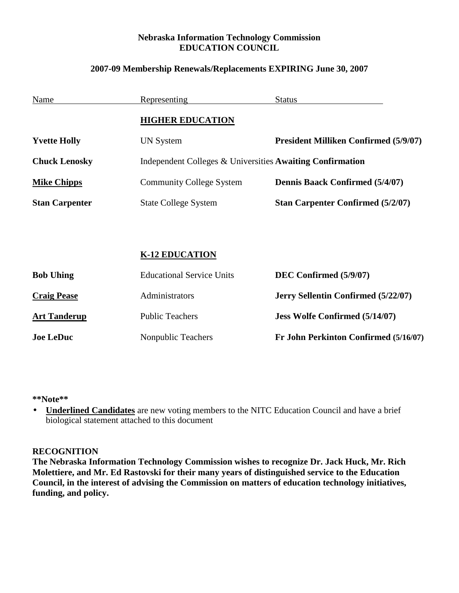## **Nebraska Information Technology Commission EDUCATION COUNCIL**

## **2007-09 Membership Renewals/Replacements EXPIRING June 30, 2007**

| Name                  | <b>Representing</b>                                       | <b>Status</b>                                |
|-----------------------|-----------------------------------------------------------|----------------------------------------------|
|                       | <b>HIGHER EDUCATION</b>                                   |                                              |
| <b>Yvette Holly</b>   | <b>UN System</b>                                          | <b>President Milliken Confirmed (5/9/07)</b> |
| <b>Chuck Lenosky</b>  | Independent Colleges & Universities Awaiting Confirmation |                                              |
| <b>Mike Chipps</b>    | <b>Community College System</b>                           | <b>Dennis Baack Confirmed (5/4/07)</b>       |
| <b>Stan Carpenter</b> | <b>State College System</b>                               | <b>Stan Carpenter Confirmed (5/2/07)</b>     |
|                       |                                                           |                                              |
|                       | <b>K-12 EDUCATION</b>                                     |                                              |
| <b>Bob Uhing</b>      | <b>Educational Service Units</b>                          | DEC Confirmed (5/9/07)                       |
| <b>Craig Pease</b>    | Administrators                                            | Jerry Sellentin Confirmed (5/22/07)          |
| <b>Art Tanderup</b>   | <b>Public Teachers</b>                                    | <b>Jess Wolfe Confirmed (5/14/07)</b>        |
| <b>Joe LeDuc</b>      | <b>Nonpublic Teachers</b>                                 | Fr John Perkinton Confirmed (5/16/07)        |

**\*\*Note\*\*** 

• **Underlined Candidates** are new voting members to the NITC Education Council and have a brief biological statement attached to this document

#### **RECOGNITION**

**The Nebraska Information Technology Commission wishes to recognize Dr. Jack Huck, Mr. Rich Molettiere, and Mr. Ed Rastovski for their many years of distinguished service to the Education Council, in the interest of advising the Commission on matters of education technology initiatives, funding, and policy.**